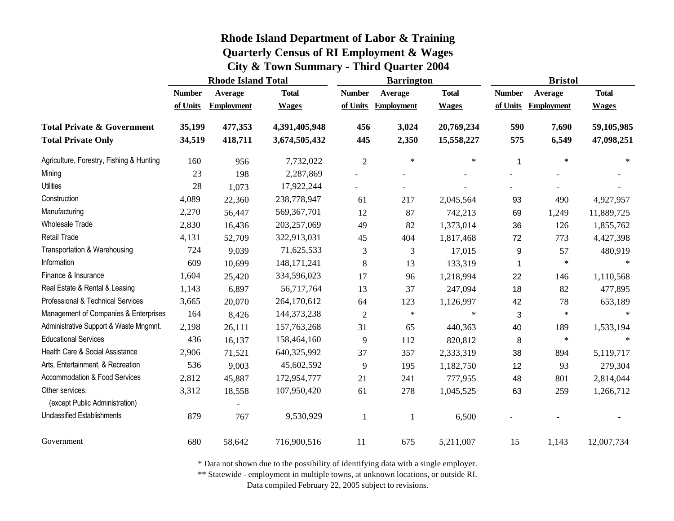|                                                   | <b>Rhode Island Total</b> |                   |               |                | <b>Barrington</b> |              | <b>Bristol</b> |                   |              |
|---------------------------------------------------|---------------------------|-------------------|---------------|----------------|-------------------|--------------|----------------|-------------------|--------------|
|                                                   | <b>Number</b>             | Average           | <b>Total</b>  | <b>Number</b>  | Average           | <b>Total</b> | <b>Number</b>  | Average           | <b>Total</b> |
|                                                   | of Units                  | <b>Employment</b> | <b>Wages</b>  | of Units       | <b>Employment</b> | <b>Wages</b> | of Units       | <b>Employment</b> | <b>Wages</b> |
| <b>Total Private &amp; Government</b>             | 35,199                    | 477,353           | 4,391,405,948 | 456            | 3,024             | 20,769,234   | 590            | 7,690             | 59,105,985   |
| <b>Total Private Only</b>                         | 34,519                    | 418,711           | 3,674,505,432 | 445            | 2,350             | 15,558,227   | 575            | 6,549             | 47,098,251   |
| Agriculture, Forestry, Fishing & Hunting          | 160                       | 956               | 7,732,022     | $\overline{2}$ | $\ast$            | $\ast$       | 1              | $\ast$            | $\ast$       |
| Mining                                            | 23                        | 198               | 2,287,869     |                |                   |              |                |                   |              |
| <b>Utilities</b>                                  | 28                        | 1,073             | 17,922,244    |                |                   |              |                |                   |              |
| Construction                                      | 4,089                     | 22,360            | 238,778,947   | 61             | 217               | 2,045,564    | 93             | 490               | 4,927,957    |
| Manufacturing                                     | 2,270                     | 56,447            | 569, 367, 701 | 12             | 87                | 742,213      | 69             | 1,249             | 11,889,725   |
| <b>Wholesale Trade</b>                            | 2,830                     | 16,436            | 203,257,069   | 49             | 82                | 1,373,014    | 36             | 126               | 1,855,762    |
| Retail Trade                                      | 4,131                     | 52,709            | 322,913,031   | 45             | 404               | 1,817,468    | 72             | 773               | 4,427,398    |
| Transportation & Warehousing                      | 724                       | 9,039             | 71,625,533    | 3              | 3                 | 17,015       | 9              | 57                | 480,919      |
| Information                                       | 609                       | 10,699            | 148, 171, 241 | 8              | 13                | 133,319      | 1              | $\ast$            | $\ast$       |
| Finance & Insurance                               | 1,604                     | 25,420            | 334,596,023   | 17             | 96                | 1,218,994    | 22             | 146               | 1,110,568    |
| Real Estate & Rental & Leasing                    | 1,143                     | 6,897             | 56,717,764    | 13             | 37                | 247,094      | 18             | 82                | 477,895      |
| Professional & Technical Services                 | 3,665                     | 20,070            | 264,170,612   | 64             | 123               | 1,126,997    | 42             | 78                | 653,189      |
| Management of Companies & Enterprises             | 164                       | 8,426             | 144, 373, 238 | $\overline{2}$ | $\ast$            | $\ast$       | 3              | $\ast$            |              |
| Administrative Support & Waste Mngmnt.            | 2,198                     | 26,111            | 157,763,268   | 31             | 65                | 440,363      | 40             | 189               | 1,533,194    |
| <b>Educational Services</b>                       | 436                       | 16,137            | 158,464,160   | 9              | 112               | 820,812      | 8              | $\ast$            | $\ast$       |
| Health Care & Social Assistance                   | 2,906                     | 71,521            | 640,325,992   | 37             | 357               | 2,333,319    | 38             | 894               | 5,119,717    |
| Arts, Entertainment, & Recreation                 | 536                       | 9,003             | 45,602,592    | 9              | 195               | 1,182,750    | 12             | 93                | 279,304      |
| Accommodation & Food Services                     | 2,812                     | 45,887            | 172,954,777   | 21             | 241               | 777,955      | 48             | 801               | 2,814,044    |
| Other services,<br>(except Public Administration) | 3,312                     | 18,558            | 107,950,420   | 61             | 278               | 1,045,525    | 63             | 259               | 1,266,712    |
| Unclassified Establishments                       | 879                       | 767               | 9,530,929     | 1              |                   | 6,500        |                |                   |              |
| Government                                        | 680                       | 58,642            | 716,900,516   | 11             | 675               | 5,211,007    | 15             | 1,143             | 12,007,734   |

\* Data not shown due to the possibility of identifying data with a single employer.

\*\* Statewide - employment in multiple towns, at unknown locations, or outside RI.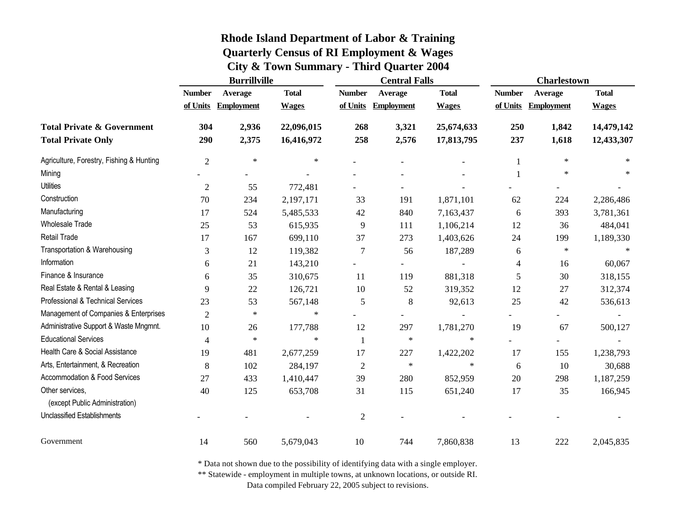|                                                   | <b>Burrillville</b> |                   |              | <b>Central Falls</b> |                   | <b>Charlestown</b> |                |                   |              |
|---------------------------------------------------|---------------------|-------------------|--------------|----------------------|-------------------|--------------------|----------------|-------------------|--------------|
|                                                   | <b>Number</b>       | Average           | <b>Total</b> | <b>Number</b>        | Average           | <b>Total</b>       | <b>Number</b>  | Average           | <b>Total</b> |
|                                                   | of Units            | <b>Employment</b> | <b>Wages</b> | of Units             | <b>Employment</b> | <b>Wages</b>       | of Units       | <b>Employment</b> | <b>Wages</b> |
| <b>Total Private &amp; Government</b>             | 304                 | 2,936             | 22,096,015   | 268                  | 3,321             | 25,674,633         | 250            | 1,842             | 14,479,142   |
| <b>Total Private Only</b>                         | 290                 | 2,375             | 16,416,972   | 258                  | 2,576             | 17,813,795         | 237            | 1,618             | 12,433,307   |
| Agriculture, Forestry, Fishing & Hunting          | $\overline{2}$      | $\ast$            | $\ast$       |                      |                   |                    | 1              | $\ast$            | $\ast$       |
| Mining                                            |                     |                   |              |                      |                   |                    | $\mathbf{1}$   | $\ast$            |              |
| Utilities                                         | $\mathfrak{2}$      | 55                | 772,481      |                      |                   |                    |                |                   |              |
| Construction                                      | 70                  | 234               | 2,197,171    | 33                   | 191               | 1,871,101          | 62             | 224               | 2,286,486    |
| Manufacturing                                     | 17                  | 524               | 5,485,533    | 42                   | 840               | 7,163,437          | 6              | 393               | 3,781,361    |
| <b>Wholesale Trade</b>                            | 25                  | 53                | 615,935      | 9                    | 111               | 1,106,214          | 12             | 36                | 484,041      |
| <b>Retail Trade</b>                               | 17                  | 167               | 699,110      | 37                   | 273               | 1,403,626          | 24             | 199               | 1,189,330    |
| Transportation & Warehousing                      | 3                   | 12                | 119,382      | 7                    | 56                | 187,289            | 6              | $\ast$            | $\ast$       |
| Information                                       | 6                   | 21                | 143,210      |                      |                   |                    | 4              | 16                | 60,067       |
| Finance & Insurance                               | 6                   | 35                | 310,675      | 11                   | 119               | 881,318            | 5              | 30                | 318,155      |
| Real Estate & Rental & Leasing                    | 9                   | 22                | 126,721      | 10                   | 52                | 319,352            | 12             | 27                | 312,374      |
| Professional & Technical Services                 | 23                  | 53                | 567,148      | 5                    | 8                 | 92,613             | 25             | 42                | 536,613      |
| Management of Companies & Enterprises             | $\overline{2}$      | $\ast$            | $\ast$       |                      |                   |                    |                |                   |              |
| Administrative Support & Waste Mngmnt.            | 10                  | 26                | 177,788      | 12                   | 297               | 1,781,270          | 19             | 67                | 500,127      |
| <b>Educational Services</b>                       | 4                   | $\ast$            | $\ast$       | $\mathbf{1}$         | $\ast$            | $\ast$             | $\overline{a}$ |                   |              |
| Health Care & Social Assistance                   | 19                  | 481               | 2,677,259    | 17                   | 227               | 1,422,202          | 17             | 155               | 1,238,793    |
| Arts, Entertainment, & Recreation                 | 8                   | 102               | 284,197      | $\overline{2}$       | $\ast$            | $\ast$             | 6              | 10                | 30,688       |
| Accommodation & Food Services                     | 27                  | 433               | 1,410,447    | 39                   | 280               | 852,959            | 20             | 298               | 1,187,259    |
| Other services,<br>(except Public Administration) | 40                  | 125               | 653,708      | 31                   | 115               | 651,240            | 17             | 35                | 166,945      |
| <b>Unclassified Establishments</b>                |                     |                   |              | $\overline{2}$       |                   |                    |                |                   |              |
| Government                                        | 14                  | 560               | 5,679,043    | 10                   | 744               | 7,860,838          | 13             | 222               | 2,045,835    |

\* Data not shown due to the possibility of identifying data with a single employer.

\*\* Statewide - employment in multiple towns, at unknown locations, or outside RI.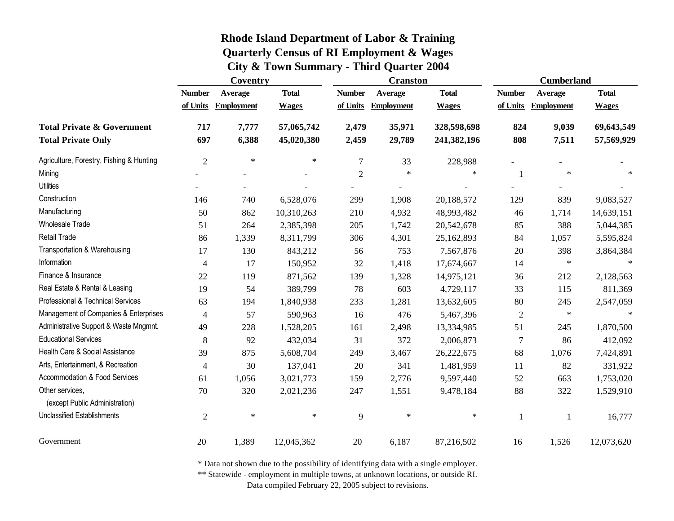|                                                   | Coventry       |                     |              | <b>Cranston</b>  |                   | <b>Cumberland</b> |                          |                   |              |
|---------------------------------------------------|----------------|---------------------|--------------|------------------|-------------------|-------------------|--------------------------|-------------------|--------------|
|                                                   | <b>Number</b>  | Average             | <b>Total</b> | <b>Number</b>    | Average           | <b>Total</b>      | <b>Number</b>            | <b>Average</b>    | <b>Total</b> |
|                                                   |                | of Units Employment | <b>Wages</b> | of Units         | <b>Employment</b> | <b>Wages</b>      | of Units                 | <b>Employment</b> | <b>Wages</b> |
| <b>Total Private &amp; Government</b>             | 717            | 7,777               | 57,065,742   | 2,479            | 35,971            | 328,598,698       | 824                      | 9,039             | 69,643,549   |
| <b>Total Private Only</b>                         | 697            | 6,388               | 45,020,380   | 2,459            | 29,789            | 241,382,196       | 808                      | 7,511             | 57,569,929   |
| Agriculture, Forestry, Fishing & Hunting          | $\overline{2}$ | $\ast$              | $\ast$       | $\boldsymbol{7}$ | 33                | 228,988           | $\overline{\phantom{0}}$ |                   |              |
| Mining                                            |                |                     |              | $\overline{2}$   | $\ast$            | $\star$           | $\mathbf{1}$             | $\star$           | $\ast$       |
| <b>Utilities</b>                                  |                |                     |              |                  |                   |                   |                          |                   |              |
| Construction                                      | 146            | 740                 | 6,528,076    | 299              | 1,908             | 20,188,572        | 129                      | 839               | 9,083,527    |
| Manufacturing                                     | 50             | 862                 | 10,310,263   | 210              | 4,932             | 48,993,482        | 46                       | 1,714             | 14,639,151   |
| <b>Wholesale Trade</b>                            | 51             | 264                 | 2,385,398    | 205              | 1,742             | 20,542,678        | 85                       | 388               | 5,044,385    |
| <b>Retail Trade</b>                               | 86             | 1,339               | 8,311,799    | 306              | 4,301             | 25,162,893        | 84                       | 1,057             | 5,595,824    |
| Transportation & Warehousing                      | 17             | 130                 | 843,212      | 56               | 753               | 7,567,876         | 20                       | 398               | 3,864,384    |
| Information                                       | $\overline{4}$ | 17                  | 150,952      | 32               | 1,418             | 17,674,667        | 14                       | $\ast$            |              |
| Finance & Insurance                               | 22             | 119                 | 871,562      | 139              | 1,328             | 14,975,121        | 36                       | 212               | 2,128,563    |
| Real Estate & Rental & Leasing                    | 19             | 54                  | 389,799      | 78               | 603               | 4,729,117         | 33                       | 115               | 811,369      |
| Professional & Technical Services                 | 63             | 194                 | 1,840,938    | 233              | 1,281             | 13,632,605        | $80\,$                   | 245               | 2,547,059    |
| Management of Companies & Enterprises             | 4              | 57                  | 590,963      | 16               | 476               | 5,467,396         | $\mathfrak{2}$           | $\ast$            |              |
| Administrative Support & Waste Mngmnt.            | 49             | 228                 | 1,528,205    | 161              | 2,498             | 13,334,985        | 51                       | 245               | 1,870,500    |
| <b>Educational Services</b>                       | 8              | 92                  | 432,034      | 31               | 372               | 2,006,873         | $\tau$                   | 86                | 412,092      |
| Health Care & Social Assistance                   | 39             | 875                 | 5,608,704    | 249              | 3,467             | 26,222,675        | 68                       | 1,076             | 7,424,891    |
| Arts, Entertainment, & Recreation                 | $\overline{4}$ | 30                  | 137,041      | 20               | 341               | 1,481,959         | 11                       | 82                | 331,922      |
| Accommodation & Food Services                     | 61             | 1,056               | 3,021,773    | 159              | 2,776             | 9,597,440         | 52                       | 663               | 1,753,020    |
| Other services,<br>(except Public Administration) | 70             | 320                 | 2,021,236    | 247              | 1,551             | 9,478,184         | 88                       | 322               | 1,529,910    |
| <b>Unclassified Establishments</b>                | $\overline{2}$ | $\ast$              | $\ast$       | 9                | $\ast$            | $\ast$            | $\mathbf{1}$             | $\mathbf{1}$      | 16,777       |
| Government                                        | 20             | 1,389               | 12,045,362   | 20               | 6,187             | 87,216,502        | 16                       | 1,526             | 12,073,620   |

\* Data not shown due to the possibility of identifying data with a single employer.

\*\* Statewide - employment in multiple towns, at unknown locations, or outside RI.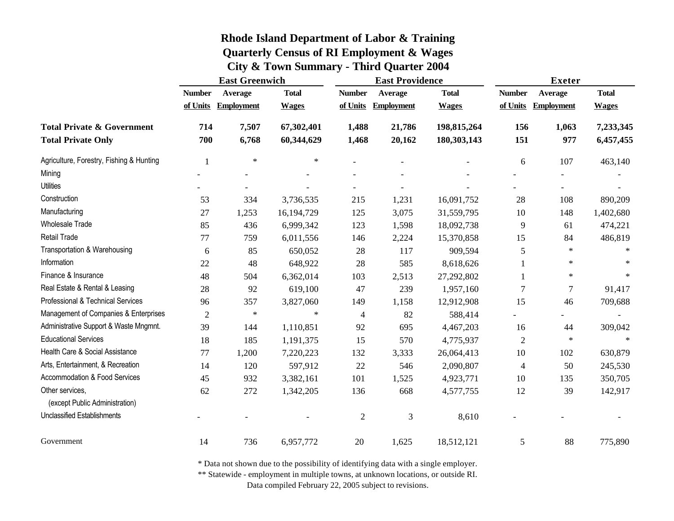|                                          | <b>East Greenwich</b> |                   |              | <b>East Providence</b> |                   | <b>Exeter</b> |                |                   |              |
|------------------------------------------|-----------------------|-------------------|--------------|------------------------|-------------------|---------------|----------------|-------------------|--------------|
|                                          | <b>Number</b>         | Average           | <b>Total</b> | <b>Number</b>          | Average           | <b>Total</b>  | <b>Number</b>  | Average           | <b>Total</b> |
|                                          | of Units              | <b>Employment</b> | <b>Wages</b> | of Units               | <b>Employment</b> | <b>Wages</b>  | of Units       | <b>Employment</b> | <b>Wages</b> |
| <b>Total Private &amp; Government</b>    | 714                   | 7,507             | 67,302,401   | 1,488                  | 21,786            | 198, 815, 264 | 156            | 1,063             | 7,233,345    |
| <b>Total Private Only</b>                | 700                   | 6,768             | 60,344,629   | 1,468                  | 20,162            | 180,303,143   | 151            | 977               | 6,457,455    |
| Agriculture, Forestry, Fishing & Hunting | 1                     | $\ast$            | $\ast$       |                        |                   |               | 6              | 107               | 463,140      |
| Mining                                   |                       |                   |              |                        |                   |               |                |                   |              |
| <b>Utilities</b>                         |                       |                   |              |                        |                   |               |                |                   |              |
| Construction                             | 53                    | 334               | 3,736,535    | 215                    | 1,231             | 16,091,752    | 28             | 108               | 890,209      |
| Manufacturing                            | 27                    | 1,253             | 16,194,729   | 125                    | 3,075             | 31,559,795    | 10             | 148               | 1,402,680    |
| <b>Wholesale Trade</b>                   | 85                    | 436               | 6,999,342    | 123                    | 1,598             | 18,092,738    | 9              | 61                | 474,221      |
| Retail Trade                             | 77                    | 759               | 6,011,556    | 146                    | 2,224             | 15,370,858    | 15             | 84                | 486,819      |
| Transportation & Warehousing             | 6                     | 85                | 650,052      | 28                     | 117               | 909,594       | 5              | $\ast$            | $\ast$       |
| Information                              | 22                    | 48                | 648,922      | 28                     | 585               | 8,618,626     |                | $\ast$            |              |
| Finance & Insurance                      | 48                    | 504               | 6,362,014    | 103                    | 2,513             | 27,292,802    |                | $\ast$            | $\ast$       |
| Real Estate & Rental & Leasing           | 28                    | 92                | 619,100      | 47                     | 239               | 1,957,160     | 7              | 7                 | 91,417       |
| Professional & Technical Services        | 96                    | 357               | 3,827,060    | 149                    | 1,158             | 12,912,908    | 15             | 46                | 709,688      |
| Management of Companies & Enterprises    | $\overline{c}$        | $\ast$            | $\ast$       | 4                      | 82                | 588,414       |                |                   |              |
| Administrative Support & Waste Mngmnt.   | 39                    | 144               | 1,110,851    | 92                     | 695               | 4,467,203     | 16             | 44                | 309,042      |
| <b>Educational Services</b>              | 18                    | 185               | 1,191,375    | 15                     | 570               | 4,775,937     | $\overline{2}$ | $\ast$            | $\star$      |
| Health Care & Social Assistance          | 77                    | 1,200             | 7,220,223    | 132                    | 3,333             | 26,064,413    | 10             | 102               | 630,879      |
| Arts, Entertainment, & Recreation        | 14                    | 120               | 597,912      | 22                     | 546               | 2,090,807     | $\overline{4}$ | 50                | 245,530      |
| Accommodation & Food Services            | 45                    | 932               | 3,382,161    | 101                    | 1,525             | 4,923,771     | 10             | 135               | 350,705      |
| Other services,                          | 62                    | 272               | 1,342,205    | 136                    | 668               | 4,577,755     | 12             | 39                | 142,917      |
| (except Public Administration)           |                       |                   |              |                        |                   |               |                |                   |              |
| <b>Unclassified Establishments</b>       |                       |                   |              | $\overline{c}$         | 3                 | 8,610         |                |                   |              |
| Government                               | 14                    | 736               | 6,957,772    | $20\,$                 | 1,625             | 18,512,121    | 5              | 88                | 775,890      |

\* Data not shown due to the possibility of identifying data with a single employer.

\*\* Statewide - employment in multiple towns, at unknown locations, or outside RI.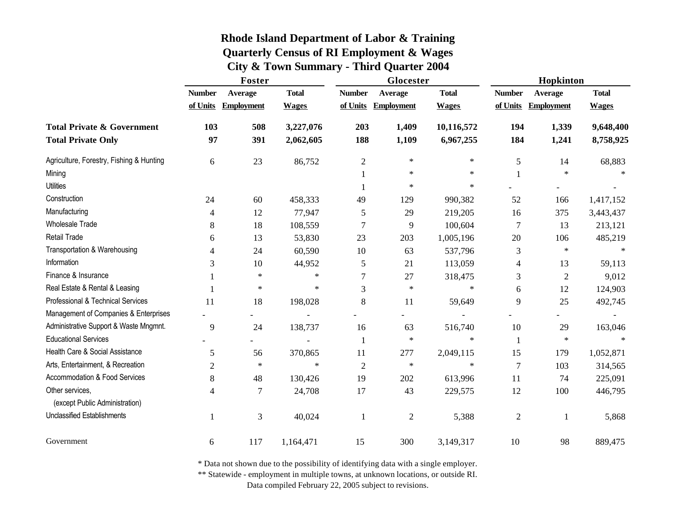|                                          | Foster         |                   |              | Glocester      |                   | Hopkinton    |                |                   |              |
|------------------------------------------|----------------|-------------------|--------------|----------------|-------------------|--------------|----------------|-------------------|--------------|
|                                          | <b>Number</b>  | Average           | <b>Total</b> | <b>Number</b>  | Average           | <b>Total</b> | <b>Number</b>  | <b>Average</b>    | <b>Total</b> |
|                                          | of Units       | <b>Employment</b> | <b>Wages</b> | of Units       | <b>Employment</b> | <b>Wages</b> | of Units       | <b>Employment</b> | <b>Wages</b> |
| <b>Total Private &amp; Government</b>    | 103            | 508               | 3,227,076    | 203            | 1,409             | 10,116,572   | 194            | 1,339             | 9,648,400    |
| <b>Total Private Only</b>                | 97             | 391               | 2,062,605    | 188            | 1,109             | 6,967,255    | 184            | 1,241             | 8,758,925    |
| Agriculture, Forestry, Fishing & Hunting | 6              | 23                | 86,752       | $\overline{2}$ | $\ast$            | $\ast$       | 5              | 14                | 68,883       |
| Mining                                   |                |                   |              |                | $\ast$            | $\ast$       |                | $\star$           | $\star$      |
| <b>Utilities</b>                         |                |                   |              | 1              | $\ast$            | $\ast$       |                |                   |              |
| Construction                             | 24             | 60                | 458,333      | 49             | 129               | 990,382      | 52             | 166               | 1,417,152    |
| Manufacturing                            | $\overline{4}$ | 12                | 77,947       | 5              | 29                | 219,205      | 16             | 375               | 3,443,437    |
| <b>Wholesale Trade</b>                   | 8              | 18                | 108,559      | 7              | 9                 | 100,604      | $\overline{7}$ | 13                | 213,121      |
| Retail Trade                             | 6              | 13                | 53,830       | 23             | 203               | 1,005,196    | 20             | 106               | 485,219      |
| Transportation & Warehousing             | 4              | 24                | 60,590       | 10             | 63                | 537,796      | 3              | $\ast$            | $\star$      |
| Information                              | 3              | 10                | 44,952       | 5              | 21                | 113,059      | 4              | 13                | 59,113       |
| Finance & Insurance                      |                | $\ast$            | $\star$      | 7              | 27                | 318,475      | 3              | $\overline{2}$    | 9,012        |
| Real Estate & Rental & Leasing           |                | $\ast$            | $\star$      | 3              | $\ast$            | $\ast$       | 6              | 12                | 124,903      |
| Professional & Technical Services        | 11             | 18                | 198,028      | 8              | 11                | 59,649       | 9              | 25                | 492,745      |
| Management of Companies & Enterprises    |                |                   |              |                |                   |              |                |                   |              |
| Administrative Support & Waste Mngmnt.   | 9              | 24                | 138,737      | 16             | 63                | 516,740      | 10             | 29                | 163,046      |
| <b>Educational Services</b>              |                |                   |              | 1              | $\ast$            | $\ast$       | $\mathbf{1}$   | $\ast$            | $\ast$       |
| Health Care & Social Assistance          | 5              | 56                | 370,865      | 11             | 277               | 2,049,115    | 15             | 179               | 1,052,871    |
| Arts, Entertainment, & Recreation        | $\mathfrak{2}$ | $\ast$            | $\star$      | $\mathfrak{2}$ | $\ast$            | $\ast$       | $\overline{7}$ | 103               | 314,565      |
| Accommodation & Food Services            | $\,8\,$        | 48                | 130,426      | 19             | 202               | 613,996      | 11             | 74                | 225,091      |
| Other services,                          | 4              | 7                 | 24,708       | 17             | 43                | 229,575      | 12             | 100               | 446,795      |
| (except Public Administration)           |                |                   |              |                |                   |              |                |                   |              |
| <b>Unclassified Establishments</b>       | 1              | 3                 | 40,024       | 1              | $\mathfrak{2}$    | 5,388        | $\mathfrak{2}$ |                   | 5,868        |
| Government                               | 6              | 117               | 1,164,471    | 15             | 300               | 3,149,317    | 10             | 98                | 889,475      |

\* Data not shown due to the possibility of identifying data with a single employer.

\*\* Statewide - employment in multiple towns, at unknown locations, or outside RI.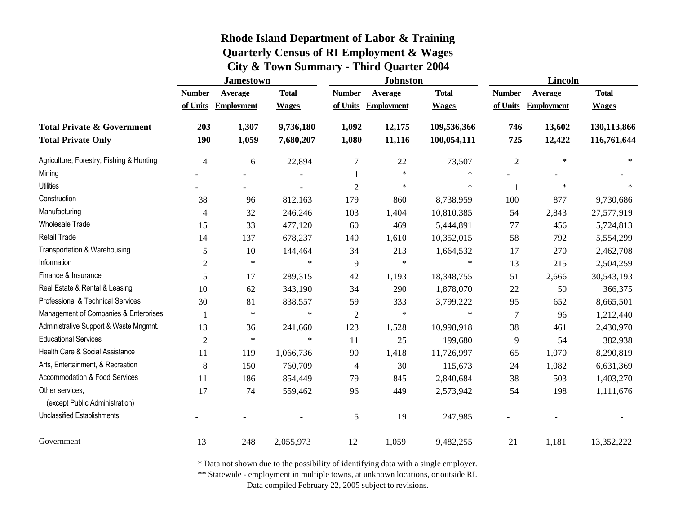|                                                   | <b>Jamestown</b> |                     |              | <b>Johnston</b> |                   | Lincoln      |                |                   |              |
|---------------------------------------------------|------------------|---------------------|--------------|-----------------|-------------------|--------------|----------------|-------------------|--------------|
|                                                   | <b>Number</b>    | Average             | <b>Total</b> | <b>Number</b>   | Average           | <b>Total</b> | <b>Number</b>  | Average           | <b>Total</b> |
|                                                   |                  | of Units Employment | <b>Wages</b> | of Units        | <b>Employment</b> | <b>Wages</b> | of Units       | <b>Employment</b> | <b>Wages</b> |
| <b>Total Private &amp; Government</b>             | 203              | 1,307               | 9,736,180    | 1,092           | 12,175            | 109,536,366  | 746            | 13,602            | 130,113,866  |
| <b>Total Private Only</b>                         | 190              | 1,059               | 7,680,207    | 1,080           | 11,116            | 100,054,111  | 725            | 12,422            | 116,761,644  |
| Agriculture, Forestry, Fishing & Hunting          | $\overline{4}$   | 6                   | 22,894       | 7               | 22                | 73,507       | $\mathfrak{2}$ | $\ast$            | $\ast$       |
| Mining                                            |                  |                     |              |                 | $\ast$            | $\ast$       |                |                   |              |
| <b>Utilities</b>                                  |                  |                     |              | $\overline{2}$  | $\ast$            | $\ast$       | $\mathbf{1}$   | $\ast$            | $\ast$       |
| Construction                                      | 38               | 96                  | 812,163      | 179             | 860               | 8,738,959    | 100            | 877               | 9,730,686    |
| Manufacturing                                     | 4                | 32                  | 246,246      | 103             | 1,404             | 10,810,385   | 54             | 2,843             | 27,577,919   |
| <b>Wholesale Trade</b>                            | 15               | 33                  | 477,120      | 60              | 469               | 5,444,891    | 77             | 456               | 5,724,813    |
| <b>Retail Trade</b>                               | 14               | 137                 | 678,237      | 140             | 1,610             | 10,352,015   | 58             | 792               | 5,554,299    |
| Transportation & Warehousing                      | 5                | 10                  | 144,464      | 34              | 213               | 1,664,532    | 17             | 270               | 2,462,708    |
| Information                                       | $\overline{2}$   | $\ast$              | $\ast$       | 9               | $\ast$            | $\ast$       | 13             | 215               | 2,504,259    |
| Finance & Insurance                               | 5                | 17                  | 289,315      | 42              | 1,193             | 18,348,755   | 51             | 2,666             | 30,543,193   |
| Real Estate & Rental & Leasing                    | 10               | 62                  | 343,190      | 34              | 290               | 1,878,070    | 22             | 50                | 366,375      |
| Professional & Technical Services                 | 30               | 81                  | 838,557      | 59              | 333               | 3,799,222    | 95             | 652               | 8,665,501    |
| Management of Companies & Enterprises             |                  | $\ast$              | $\ast$       | $\mathbf{2}$    | $\ast$            | $\ast$       | $\overline{7}$ | 96                | 1,212,440    |
| Administrative Support & Waste Mngmnt.            | 13               | 36                  | 241,660      | 123             | 1,528             | 10,998,918   | 38             | 461               | 2,430,970    |
| <b>Educational Services</b>                       | $\mathfrak{2}$   | $\ast$              | $\ast$       | 11              | 25                | 199,680      | 9              | 54                | 382,938      |
| Health Care & Social Assistance                   | 11               | 119                 | 1,066,736    | 90              | 1,418             | 11,726,997   | 65             | 1,070             | 8,290,819    |
| Arts, Entertainment, & Recreation                 | 8                | 150                 | 760,709      | 4               | 30                | 115,673      | 24             | 1,082             | 6,631,369    |
| Accommodation & Food Services                     | 11               | 186                 | 854,449      | 79              | 845               | 2,840,684    | 38             | 503               | 1,403,270    |
| Other services,<br>(except Public Administration) | 17               | 74                  | 559,462      | 96              | 449               | 2,573,942    | 54             | 198               | 1,111,676    |
| <b>Unclassified Establishments</b>                |                  |                     |              | $\mathfrak s$   | 19                | 247,985      |                |                   |              |
| Government                                        | 13               | 248                 | 2,055,973    | 12              | 1,059             | 9,482,255    | 21             | 1,181             | 13,352,222   |

\* Data not shown due to the possibility of identifying data with a single employer.

\*\* Statewide - employment in multiple towns, at unknown locations, or outside RI.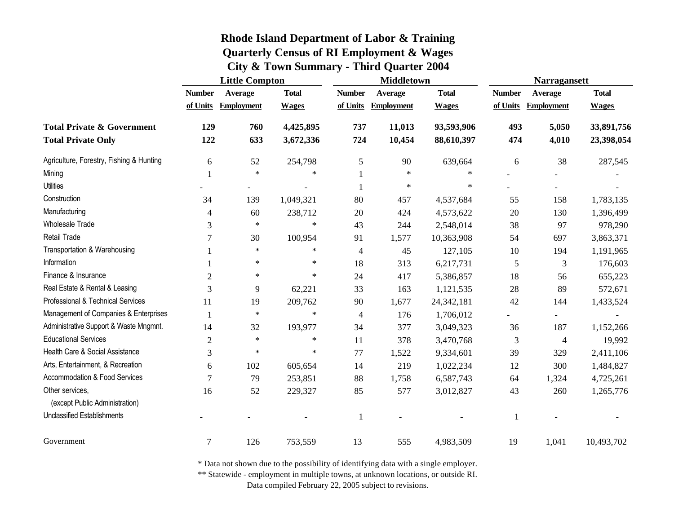|                                                   | <b>Little Compton</b> |                   |              | <b>Middletown</b> |                   | <b>Narragansett</b> |               |                          |              |
|---------------------------------------------------|-----------------------|-------------------|--------------|-------------------|-------------------|---------------------|---------------|--------------------------|--------------|
|                                                   | <b>Number</b>         | Average           | <b>Total</b> | <b>Number</b>     | <b>Average</b>    | <b>Total</b>        | <b>Number</b> | Average                  | <b>Total</b> |
|                                                   | of Units              | <b>Employment</b> | <b>Wages</b> | of Units          | <b>Employment</b> | <b>Wages</b>        | of Units      | <b>Employment</b>        | <b>Wages</b> |
| <b>Total Private &amp; Government</b>             | 129                   | 760               | 4,425,895    | 737               | 11,013            | 93,593,906          | 493           | 5,050                    | 33,891,756   |
| <b>Total Private Only</b>                         | 122                   | 633               | 3,672,336    | 724               | 10,454            | 88,610,397          | 474           | 4,010                    | 23,398,054   |
| Agriculture, Forestry, Fishing & Hunting          | 6                     | 52                | 254,798      | $\sqrt{5}$        | 90                | 639,664             | 6             | 38                       | 287,545      |
| Mining                                            |                       | $\ast$            | $\ast$       |                   | $\ast$            | $\ast$              |               |                          |              |
| <b>Utilities</b>                                  |                       |                   |              | $\mathbf{1}$      | $\ast$            | $\ast$              |               |                          |              |
| Construction                                      | 34                    | 139               | 1,049,321    | 80                | 457               | 4,537,684           | 55            | 158                      | 1,783,135    |
| Manufacturing                                     | 4                     | 60                | 238,712      | $20\,$            | 424               | 4,573,622           | 20            | 130                      | 1,396,499    |
| <b>Wholesale Trade</b>                            | 3                     | $\ast$            | $\ast$       | 43                | 244               | 2,548,014           | 38            | 97                       | 978,290      |
| Retail Trade                                      | 7                     | 30                | 100,954      | 91                | 1,577             | 10,363,908          | 54            | 697                      | 3,863,371    |
| Transportation & Warehousing                      |                       | $\ast$            | $\ast$       | 4                 | 45                | 127,105             | 10            | 194                      | 1,191,965    |
| Information                                       |                       | $\ast$            | $\ast$       | 18                | 313               | 6,217,731           | 5             | 3                        | 176,603      |
| Finance & Insurance                               | $\overline{2}$        | $\star$           | $\ast$       | 24                | 417               | 5,386,857           | 18            | 56                       | 655,223      |
| Real Estate & Rental & Leasing                    | 3                     | 9                 | 62,221       | 33                | 163               | 1,121,535           | 28            | 89                       | 572,671      |
| Professional & Technical Services                 | 11                    | 19                | 209,762      | 90                | 1,677             | 24, 342, 181        | 42            | 144                      | 1,433,524    |
| Management of Companies & Enterprises             | $\mathbf{1}$          | $\ast$            | $\ast$       | 4                 | 176               | 1,706,012           |               | $\overline{\phantom{0}}$ |              |
| Administrative Support & Waste Mngmnt.            | 14                    | 32                | 193,977      | 34                | 377               | 3,049,323           | 36            | 187                      | 1,152,266    |
| <b>Educational Services</b>                       | $\overline{2}$        | $\ast$            | $\ast$       | 11                | 378               | 3,470,768           | 3             | $\overline{4}$           | 19,992       |
| Health Care & Social Assistance                   | 3                     | $\ast$            | $\ast$       | 77                | 1,522             | 9,334,601           | 39            | 329                      | 2,411,106    |
| Arts, Entertainment, & Recreation                 | 6                     | 102               | 605,654      | 14                | 219               | 1,022,234           | 12            | 300                      | 1,484,827    |
| <b>Accommodation &amp; Food Services</b>          | $\overline{7}$        | 79                | 253,851      | 88                | 1,758             | 6,587,743           | 64            | 1,324                    | 4,725,261    |
| Other services,<br>(except Public Administration) | 16                    | 52                | 229,327      | 85                | 577               | 3,012,827           | 43            | 260                      | 1,265,776    |
| <b>Unclassified Establishments</b>                |                       |                   |              | $\mathbf{1}$      |                   |                     |               |                          |              |
| Government                                        | 7                     | 126               | 753,559      | 13                | 555               | 4,983,509           | 19            | 1,041                    | 10,493,702   |

\* Data not shown due to the possibility of identifying data with a single employer.

\*\* Statewide - employment in multiple towns, at unknown locations, or outside RI.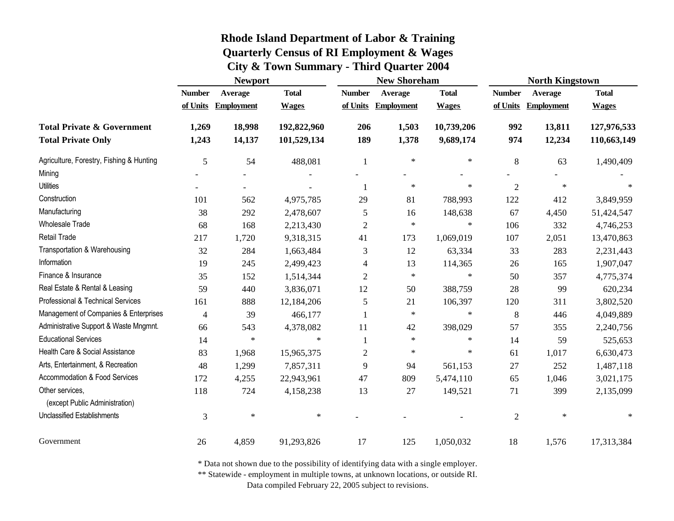|                                                   | <b>Newport</b> |                   |              |                | <b>New Shoreham</b> |              | <b>North Kingstown</b> |                   |              |
|---------------------------------------------------|----------------|-------------------|--------------|----------------|---------------------|--------------|------------------------|-------------------|--------------|
|                                                   | <b>Number</b>  | Average           | <b>Total</b> | <b>Number</b>  | Average             | <b>Total</b> | <b>Number</b>          | Average           | <b>Total</b> |
|                                                   | of Units       | <b>Employment</b> | <b>Wages</b> | of Units       | <b>Employment</b>   | <b>Wages</b> | of Units               | <b>Employment</b> | <b>Wages</b> |
| <b>Total Private &amp; Government</b>             | 1,269          | 18,998            | 192,822,960  | 206            | 1,503               | 10,739,206   | 992                    | 13,811            | 127,976,533  |
| <b>Total Private Only</b>                         | 1,243          | 14,137            | 101,529,134  | 189            | 1,378               | 9,689,174    | 974                    | 12,234            | 110,663,149  |
| Agriculture, Forestry, Fishing & Hunting          | 5              | 54                | 488,081      | 1              | $\ast$              | $\star$      | $\,8\,$                | 63                | 1,490,409    |
| Mining                                            |                |                   |              |                |                     |              |                        |                   |              |
| <b>Utilities</b>                                  |                |                   |              | 1              | $\ast$              | $\star$      | $\overline{2}$         | $\star$           |              |
| Construction                                      | 101            | 562               | 4,975,785    | 29             | 81                  | 788,993      | 122                    | 412               | 3,849,959    |
| Manufacturing                                     | 38             | 292               | 2,478,607    | 5              | 16                  | 148,638      | 67                     | 4,450             | 51,424,547   |
| <b>Wholesale Trade</b>                            | 68             | 168               | 2,213,430    | $\overline{c}$ | $\ast$              | $\ast$       | 106                    | 332               | 4,746,253    |
| Retail Trade                                      | 217            | 1,720             | 9,318,315    | 41             | 173                 | 1,069,019    | 107                    | 2,051             | 13,470,863   |
| Transportation & Warehousing                      | 32             | 284               | 1,663,484    | 3              | 12                  | 63,334       | 33                     | 283               | 2,231,443    |
| Information                                       | 19             | 245               | 2,499,423    | 4              | 13                  | 114,365      | 26                     | 165               | 1,907,047    |
| Finance & Insurance                               | 35             | 152               | 1,514,344    | $\mathfrak{2}$ | $\ast$              | $\ast$       | 50                     | 357               | 4,775,374    |
| Real Estate & Rental & Leasing                    | 59             | 440               | 3,836,071    | 12             | 50                  | 388,759      | 28                     | 99                | 620,234      |
| Professional & Technical Services                 | 161            | 888               | 12,184,206   | 5              | 21                  | 106,397      | 120                    | 311               | 3,802,520    |
| Management of Companies & Enterprises             | 4              | 39                | 466,177      | $\mathbf{1}$   | $\ast$              | $\ast$       | 8                      | 446               | 4,049,889    |
| Administrative Support & Waste Mngmnt.            | 66             | 543               | 4,378,082    | 11             | 42                  | 398,029      | 57                     | 355               | 2,240,756    |
| <b>Educational Services</b>                       | 14             | $\ast$            | $\ast$       |                | $\ast$              | $\ast$       | 14                     | 59                | 525,653      |
| Health Care & Social Assistance                   | 83             | 1,968             | 15,965,375   | $\overline{c}$ | $\ast$              | $\ast$       | 61                     | 1,017             | 6,630,473    |
| Arts, Entertainment, & Recreation                 | 48             | 1,299             | 7,857,311    | 9              | 94                  | 561,153      | 27                     | 252               | 1,487,118    |
| Accommodation & Food Services                     | 172            | 4,255             | 22,943,961   | 47             | 809                 | 5,474,110    | 65                     | 1,046             | 3,021,175    |
| Other services,<br>(except Public Administration) | 118            | 724               | 4,158,238    | 13             | 27                  | 149,521      | 71                     | 399               | 2,135,099    |
| <b>Unclassified Establishments</b>                | 3              | $\ast$            | $\ast$       |                |                     |              | $\boldsymbol{2}$       | $\ast$            | $\ast$       |
| Government                                        | 26             | 4,859             | 91,293,826   | 17             | 125                 | 1,050,032    | 18                     | 1,576             | 17,313,384   |

\* Data not shown due to the possibility of identifying data with a single employer.

\*\* Statewide - employment in multiple towns, at unknown locations, or outside RI.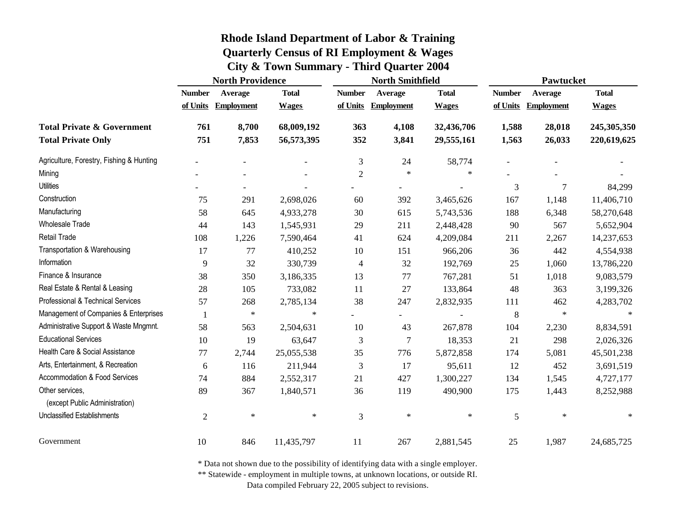|                                                   | <b>North Providence</b> |                   |              |                | <b>North Smithfield</b>  |              | <b>Pawtucket</b> |                   |              |
|---------------------------------------------------|-------------------------|-------------------|--------------|----------------|--------------------------|--------------|------------------|-------------------|--------------|
|                                                   | <b>Number</b>           | Average           | <b>Total</b> | <b>Number</b>  | Average                  | <b>Total</b> | <b>Number</b>    | Average           | <b>Total</b> |
|                                                   | of Units                | <b>Employment</b> | <b>Wages</b> | of Units       | <b>Employment</b>        | <b>Wages</b> | of Units         | <b>Employment</b> | <b>Wages</b> |
| <b>Total Private &amp; Government</b>             | 761                     | 8,700             | 68,009,192   | 363            | 4,108                    | 32,436,706   | 1,588            | 28,018            | 245,305,350  |
| <b>Total Private Only</b>                         | 751                     | 7,853             | 56,573,395   | 352            | 3,841                    | 29,555,161   | 1,563            | 26,033            | 220,619,625  |
| Agriculture, Forestry, Fishing & Hunting          |                         |                   |              | $\mathfrak{Z}$ | 24                       | 58,774       |                  |                   |              |
| Mining                                            |                         |                   |              | $\sqrt{2}$     | $\star$                  | $\star$      |                  |                   |              |
| Utilities                                         |                         |                   |              |                | $\overline{\phantom{a}}$ |              | 3                | 7                 | 84,299       |
| Construction                                      | 75                      | 291               | 2,698,026    | 60             | 392                      | 3,465,626    | 167              | 1,148             | 11,406,710   |
| Manufacturing                                     | 58                      | 645               | 4,933,278    | $30\,$         | 615                      | 5,743,536    | 188              | 6,348             | 58,270,648   |
| <b>Wholesale Trade</b>                            | 44                      | 143               | 1,545,931    | 29             | 211                      | 2,448,428    | 90               | 567               | 5,652,904    |
| <b>Retail Trade</b>                               | 108                     | 1,226             | 7,590,464    | 41             | 624                      | 4,209,084    | 211              | 2,267             | 14,237,653   |
| Transportation & Warehousing                      | 17                      | 77                | 410,252      | 10             | 151                      | 966,206      | 36               | 442               | 4,554,938    |
| Information                                       | 9                       | 32                | 330,739      | $\overline{4}$ | 32                       | 192,769      | 25               | 1,060             | 13,786,220   |
| Finance & Insurance                               | 38                      | 350               | 3,186,335    | 13             | 77                       | 767,281      | 51               | 1,018             | 9,083,579    |
| Real Estate & Rental & Leasing                    | 28                      | 105               | 733,082      | 11             | 27                       | 133,864      | 48               | 363               | 3,199,326    |
| Professional & Technical Services                 | 57                      | 268               | 2,785,134    | 38             | 247                      | 2,832,935    | 111              | 462               | 4,283,702    |
| Management of Companies & Enterprises             |                         | $\ast$            | $\ast$       |                | $\overline{\phantom{0}}$ |              | $\,8\,$          | $\ast$            | $\ast$       |
| Administrative Support & Waste Mngmnt.            | 58                      | 563               | 2,504,631    | 10             | 43                       | 267,878      | 104              | 2,230             | 8,834,591    |
| <b>Educational Services</b>                       | 10                      | 19                | 63,647       | 3              | $\boldsymbol{7}$         | 18,353       | 21               | 298               | 2,026,326    |
| Health Care & Social Assistance                   | 77                      | 2,744             | 25,055,538   | 35             | 776                      | 5,872,858    | 174              | 5,081             | 45,501,238   |
| Arts, Entertainment, & Recreation                 | 6                       | 116               | 211,944      | 3              | 17                       | 95,611       | 12               | 452               | 3,691,519    |
| Accommodation & Food Services                     | 74                      | 884               | 2,552,317    | 21             | 427                      | 1,300,227    | 134              | 1,545             | 4,727,177    |
| Other services,<br>(except Public Administration) | 89                      | 367               | 1,840,571    | 36             | 119                      | 490,900      | 175              | 1,443             | 8,252,988    |
| Unclassified Establishments                       | $\overline{2}$          | $\ast$            | $\ast$       | $\mathfrak{Z}$ | $\ast$                   | $\ast$       | $\sqrt{5}$       | $\ast$            | $\ast$       |
| Government                                        | 10                      | 846               | 11,435,797   | 11             | 267                      | 2,881,545    | 25               | 1,987             | 24,685,725   |

\* Data not shown due to the possibility of identifying data with a single employer.

\*\* Statewide - employment in multiple towns, at unknown locations, or outside RI.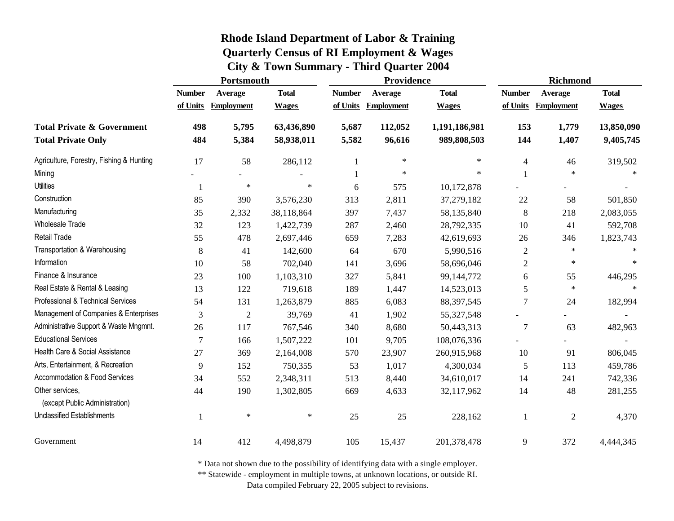|                                                   | Portsmouth    |                     |              | Providence    |                   | <b>Richmond</b> |                |                     |              |
|---------------------------------------------------|---------------|---------------------|--------------|---------------|-------------------|-----------------|----------------|---------------------|--------------|
|                                                   | <b>Number</b> | Average             | <b>Total</b> | <b>Number</b> | Average           | <b>Total</b>    | <b>Number</b>  | Average             | <b>Total</b> |
|                                                   |               | of Units Employment | <b>Wages</b> | of Units      | <b>Employment</b> | <b>Wages</b>    |                | of Units Employment | <b>Wages</b> |
| <b>Total Private &amp; Government</b>             | 498           | 5,795               | 63,436,890   | 5,687         | 112,052           | 1,191,186,981   | 153            | 1,779               | 13,850,090   |
| <b>Total Private Only</b>                         | 484           | 5,384               | 58,938,011   | 5,582         | 96,616            | 989,808,503     | 144            | 1,407               | 9,405,745    |
| Agriculture, Forestry, Fishing & Hunting          | 17            | 58                  | 286,112      | -1            | $\ast$            | $\ast$          | $\overline{4}$ | 46                  | 319,502      |
| Mining                                            |               |                     |              |               | $\star$           | $\ast$          |                | $\star$             | $\ast$       |
| <b>Utilities</b>                                  | 1             | $\ast$              | $\ast$       | 6             | 575               | 10,172,878      |                |                     |              |
| Construction                                      | 85            | 390                 | 3,576,230    | 313           | 2,811             | 37,279,182      | 22             | 58                  | 501,850      |
| Manufacturing                                     | 35            | 2,332               | 38,118,864   | 397           | 7,437             | 58,135,840      | 8              | 218                 | 2,083,055    |
| <b>Wholesale Trade</b>                            | 32            | 123                 | 1,422,739    | 287           | 2,460             | 28,792,335      | 10             | 41                  | 592,708      |
| Retail Trade                                      | 55            | 478                 | 2,697,446    | 659           | 7,283             | 42,619,693      | 26             | 346                 | 1,823,743    |
| Transportation & Warehousing                      | 8             | 41                  | 142,600      | 64            | 670               | 5,990,516       | $\overline{2}$ | $\ast$              | $\ast$       |
| Information                                       | 10            | 58                  | 702,040      | 141           | 3,696             | 58,696,046      | 2              | $\ast$              | $\ast$       |
| Finance & Insurance                               | 23            | 100                 | 1,103,310    | 327           | 5,841             | 99,144,772      | 6              | 55                  | 446,295      |
| Real Estate & Rental & Leasing                    | 13            | 122                 | 719,618      | 189           | 1,447             | 14,523,013      | 5              | $\ast$              | $\ast$       |
| Professional & Technical Services                 | 54            | 131                 | 1,263,879    | 885           | 6,083             | 88,397,545      | $\tau$         | 24                  | 182,994      |
| Management of Companies & Enterprises             | 3             | $\mathfrak{2}$      | 39,769       | 41            | 1,902             | 55,327,548      |                |                     |              |
| Administrative Support & Waste Mngmnt.            | 26            | 117                 | 767,546      | 340           | 8,680             | 50,443,313      | $\tau$         | 63                  | 482,963      |
| <b>Educational Services</b>                       | 7             | 166                 | 1,507,222    | 101           | 9,705             | 108,076,336     |                |                     |              |
| Health Care & Social Assistance                   | 27            | 369                 | 2,164,008    | 570           | 23,907            | 260,915,968     | 10             | 91                  | 806,045      |
| Arts, Entertainment, & Recreation                 | 9             | 152                 | 750,355      | 53            | 1,017             | 4,300,034       | 5              | 113                 | 459,786      |
| Accommodation & Food Services                     | 34            | 552                 | 2,348,311    | 513           | 8,440             | 34,610,017      | 14             | 241                 | 742,336      |
| Other services,<br>(except Public Administration) | 44            | 190                 | 1,302,805    | 669           | 4,633             | 32,117,962      | 14             | 48                  | 281,255      |
| <b>Unclassified Establishments</b>                | 1             | $\ast$              | $\ast$       | 25            | 25                | 228,162         | $\mathbf{1}$   | $\overline{c}$      | 4,370        |
| Government                                        | 14            | 412                 | 4,498,879    | 105           | 15,437            | 201,378,478     | 9              | 372                 | 4,444,345    |

\* Data not shown due to the possibility of identifying data with a single employer.

\*\* Statewide - employment in multiple towns, at unknown locations, or outside RI.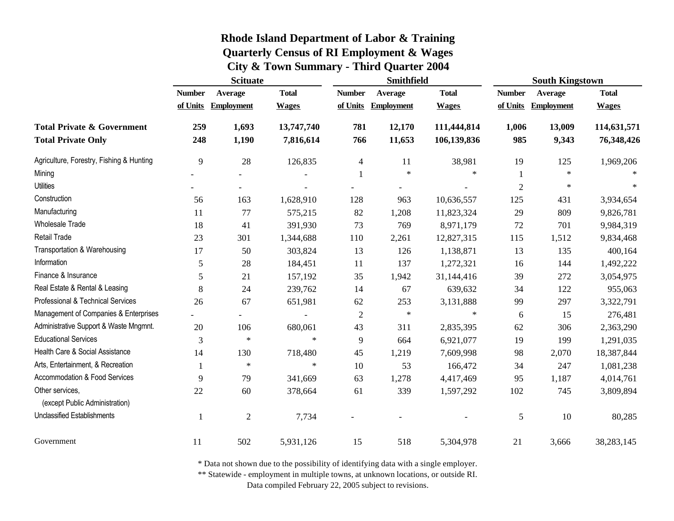|                                                   | <b>Scituate</b> |                   |              | <b>Smithfield</b>        |                   | <b>South Kingstown</b> |                |                     |              |
|---------------------------------------------------|-----------------|-------------------|--------------|--------------------------|-------------------|------------------------|----------------|---------------------|--------------|
|                                                   | <b>Number</b>   | Average           | <b>Total</b> | <b>Number</b>            | Average           | <b>Total</b>           | <b>Number</b>  | Average             | <b>Total</b> |
|                                                   | of Units        | <b>Employment</b> | <b>Wages</b> | of Units                 | <b>Employment</b> | <b>Wages</b>           |                | of Units Employment | <b>Wages</b> |
| <b>Total Private &amp; Government</b>             | 259             | 1,693             | 13,747,740   | 781                      | 12,170            | 111,444,814            | 1,006          | 13,009              | 114,631,571  |
| <b>Total Private Only</b>                         | 248             | 1,190             | 7,816,614    | 766                      | 11,653            | 106,139,836            | 985            | 9,343               | 76,348,426   |
| Agriculture, Forestry, Fishing & Hunting          | 9               | 28                | 126,835      | $\overline{\mathcal{A}}$ | 11                | 38,981                 | 19             | 125                 | 1,969,206    |
| Mining                                            |                 |                   |              | -1                       | $\star$           | $\ast$                 |                | $\star$             |              |
| <b>Utilities</b>                                  |                 |                   |              |                          |                   |                        | $\mathfrak{2}$ | $\ast$              | $\ast$       |
| Construction                                      | 56              | 163               | 1,628,910    | 128                      | 963               | 10,636,557             | 125            | 431                 | 3,934,654    |
| Manufacturing                                     | 11              | 77                | 575,215      | 82                       | 1,208             | 11,823,324             | 29             | 809                 | 9,826,781    |
| <b>Wholesale Trade</b>                            | 18              | 41                | 391,930      | 73                       | 769               | 8,971,179              | 72             | 701                 | 9,984,319    |
| <b>Retail Trade</b>                               | 23              | 301               | 1,344,688    | 110                      | 2,261             | 12,827,315             | 115            | 1,512               | 9,834,468    |
| Transportation & Warehousing                      | 17              | 50                | 303,824      | 13                       | 126               | 1,138,871              | 13             | 135                 | 400,164      |
| Information                                       | 5               | 28                | 184,451      | 11                       | 137               | 1,272,321              | 16             | 144                 | 1,492,222    |
| Finance & Insurance                               | 5               | 21                | 157,192      | 35                       | 1,942             | 31,144,416             | 39             | 272                 | 3,054,975    |
| Real Estate & Rental & Leasing                    | 8               | 24                | 239,762      | 14                       | 67                | 639,632                | 34             | 122                 | 955,063      |
| Professional & Technical Services                 | 26              | 67                | 651,981      | 62                       | 253               | 3,131,888              | 99             | 297                 | 3,322,791    |
| Management of Companies & Enterprises             |                 | $\overline{a}$    |              | $\overline{2}$           | $\ast$            | $\ast$                 | 6              | 15                  | 276,481      |
| Administrative Support & Waste Mngmnt.            | 20              | 106               | 680,061      | 43                       | 311               | 2,835,395              | 62             | 306                 | 2,363,290    |
| <b>Educational Services</b>                       | 3               | $\ast$            | $\star$      | 9                        | 664               | 6,921,077              | 19             | 199                 | 1,291,035    |
| Health Care & Social Assistance                   | 14              | 130               | 718,480      | 45                       | 1,219             | 7,609,998              | 98             | 2,070               | 18,387,844   |
| Arts, Entertainment, & Recreation                 | 1               | $\ast$            | $\ast$       | 10                       | 53                | 166,472                | 34             | 247                 | 1,081,238    |
| Accommodation & Food Services                     | 9               | 79                | 341,669      | 63                       | 1,278             | 4,417,469              | 95             | 1,187               | 4,014,761    |
| Other services,<br>(except Public Administration) | 22              | 60                | 378,664      | 61                       | 339               | 1,597,292              | 102            | 745                 | 3,809,894    |
| <b>Unclassified Establishments</b>                | 1               | $\mathfrak{2}$    | 7,734        |                          |                   |                        | 5              | 10                  | 80,285       |
| Government                                        | 11              | 502               | 5,931,126    | 15                       | 518               | 5,304,978              | 21             | 3,666               | 38,283,145   |

\* Data not shown due to the possibility of identifying data with a single employer.

\*\* Statewide - employment in multiple towns, at unknown locations, or outside RI.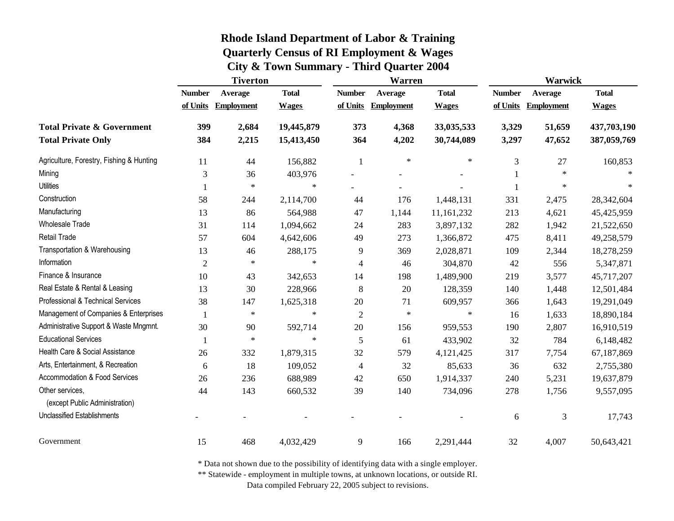|                                          | <b>Tiverton</b> |                   |              | Warren         |                   | <b>Warwick</b> |               |                   |              |
|------------------------------------------|-----------------|-------------------|--------------|----------------|-------------------|----------------|---------------|-------------------|--------------|
|                                          | <b>Number</b>   | Average           | <b>Total</b> | <b>Number</b>  | Average           | <b>Total</b>   | <b>Number</b> | Average           | <b>Total</b> |
|                                          | of Units        | <b>Employment</b> | <b>Wages</b> | of Units       | <b>Employment</b> | <b>Wages</b>   | of Units      | <b>Employment</b> | <b>Wages</b> |
| <b>Total Private &amp; Government</b>    | 399             | 2,684             | 19,445,879   | 373            | 4,368             | 33,035,533     | 3,329         | 51,659            | 437,703,190  |
| <b>Total Private Only</b>                | 384             | 2,215             | 15,413,450   | 364            | 4,202             | 30,744,089     | 3,297         | 47,652            | 387,059,769  |
| Agriculture, Forestry, Fishing & Hunting | 11              | 44                | 156,882      | -1             | $\ast$            | $\ast$         | 3             | 27                | 160,853      |
| Mining                                   | 3               | 36                | 403,976      |                |                   |                |               | $\ast$            |              |
| <b>Utilities</b>                         |                 | $\ast$            | $\ast$       |                |                   |                | -1            | $\ast$            |              |
| Construction                             | 58              | 244               | 2,114,700    | 44             | 176               | 1,448,131      | 331           | 2,475             | 28,342,604   |
| Manufacturing                            | 13              | 86                | 564,988      | 47             | 1,144             | 11,161,232     | 213           | 4,621             | 45,425,959   |
| <b>Wholesale Trade</b>                   | 31              | 114               | 1,094,662    | 24             | 283               | 3,897,132      | 282           | 1,942             | 21,522,650   |
| Retail Trade                             | 57              | 604               | 4,642,606    | 49             | 273               | 1,366,872      | 475           | 8,411             | 49,258,579   |
| Transportation & Warehousing             | 13              | 46                | 288,175      | 9              | 369               | 2,028,871      | 109           | 2,344             | 18,278,259   |
| Information                              | $\overline{2}$  | $\ast$            | $\ast$       | $\overline{4}$ | 46                | 304,870        | 42            | 556               | 5,347,871    |
| Finance & Insurance                      | 10              | 43                | 342,653      | 14             | 198               | 1,489,900      | 219           | 3,577             | 45,717,207   |
| Real Estate & Rental & Leasing           | 13              | 30                | 228,966      | 8              | 20                | 128,359        | 140           | 1,448             | 12,501,484   |
| Professional & Technical Services        | 38              | 147               | 1,625,318    | $20\,$         | 71                | 609,957        | 366           | 1,643             | 19,291,049   |
| Management of Companies & Enterprises    |                 | $\ast$            | $\ast$       | $\overline{2}$ | $\ast$            | $\ast$         | 16            | 1,633             | 18,890,184   |
| Administrative Support & Waste Mngmnt.   | 30              | 90                | 592,714      | $20\,$         | 156               | 959,553        | 190           | 2,807             | 16,910,519   |
| <b>Educational Services</b>              |                 | $\ast$            | $\ast$       | 5              | 61                | 433,902        | 32            | 784               | 6,148,482    |
| Health Care & Social Assistance          | 26              | 332               | 1,879,315    | 32             | 579               | 4,121,425      | 317           | 7,754             | 67,187,869   |
| Arts, Entertainment, & Recreation        | 6               | 18                | 109,052      | $\overline{4}$ | 32                | 85,633         | 36            | 632               | 2,755,380    |
| Accommodation & Food Services            | 26              | 236               | 688,989      | 42             | 650               | 1,914,337      | 240           | 5,231             | 19,637,879   |
| Other services.                          | 44              | 143               | 660,532      | 39             | 140               | 734,096        | 278           | 1,756             | 9,557,095    |
| (except Public Administration)           |                 |                   |              |                |                   |                |               |                   |              |
| Unclassified Establishments              |                 |                   |              |                |                   |                | 6             | 3                 | 17,743       |
| Government                               | 15              | 468               | 4,032,429    | 9              | 166               | 2,291,444      | 32            | 4,007             | 50,643,421   |

\* Data not shown due to the possibility of identifying data with a single employer.

\*\* Statewide - employment in multiple towns, at unknown locations, or outside RI.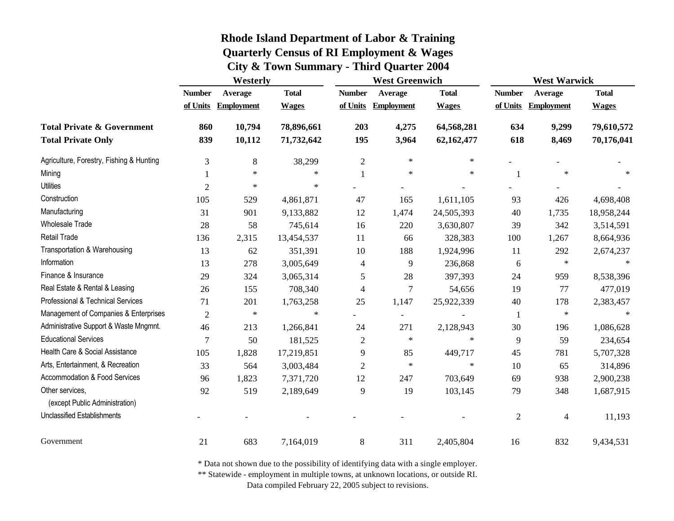|                                                   | Westerly                  |                              |                              | <b>West Greenwich</b>     |                              |                              | <b>West Warwick</b>       |                              |                              |
|---------------------------------------------------|---------------------------|------------------------------|------------------------------|---------------------------|------------------------------|------------------------------|---------------------------|------------------------------|------------------------------|
|                                                   | <b>Number</b><br>of Units | Average<br><b>Employment</b> | <b>Total</b><br><b>Wages</b> | <b>Number</b><br>of Units | Average<br><b>Employment</b> | <b>Total</b><br><b>Wages</b> | <b>Number</b><br>of Units | Average<br><b>Employment</b> | <b>Total</b><br><b>Wages</b> |
|                                                   |                           |                              |                              |                           |                              |                              |                           |                              |                              |
| <b>Total Private &amp; Government</b>             | 860                       | 10,794                       | 78,896,661                   | 203                       | 4,275                        | 64,568,281                   | 634                       | 9,299                        | 79,610,572                   |
| <b>Total Private Only</b>                         | 839                       | 10,112                       | 71,732,642                   | 195                       | 3,964                        | 62,162,477                   | 618                       | 8,469                        | 70,176,041                   |
| Agriculture, Forestry, Fishing & Hunting          | 3                         | 8                            | 38,299                       | $\overline{2}$            | $\ast$                       | $\ast$                       |                           |                              |                              |
| Mining                                            |                           | $\ast$                       | $\ast$                       |                           | $\star$                      | $\ast$                       | 1                         | $\ast$                       | $\ast$                       |
| <b>Utilities</b>                                  | $\overline{2}$            | $\ast$                       | $\star$                      |                           |                              |                              |                           |                              |                              |
| Construction                                      | 105                       | 529                          | 4,861,871                    | 47                        | 165                          | 1,611,105                    | 93                        | 426                          | 4,698,408                    |
| Manufacturing                                     | 31                        | 901                          | 9,133,882                    | 12                        | 1,474                        | 24,505,393                   | 40                        | 1,735                        | 18,958,244                   |
| <b>Wholesale Trade</b>                            | 28                        | 58                           | 745,614                      | 16                        | 220                          | 3,630,807                    | 39                        | 342                          | 3,514,591                    |
| Retail Trade                                      | 136                       | 2,315                        | 13,454,537                   | 11                        | 66                           | 328,383                      | 100                       | 1,267                        | 8,664,936                    |
| Transportation & Warehousing                      | 13                        | 62                           | 351,391                      | 10                        | 188                          | 1,924,996                    | 11                        | 292                          | 2,674,237                    |
| Information                                       | 13                        | 278                          | 3,005,649                    | $\overline{4}$            | 9                            | 236,868                      | 6                         | $\ast$                       | $\star$                      |
| Finance & Insurance                               | 29                        | 324                          | 3,065,314                    | 5                         | 28                           | 397,393                      | 24                        | 959                          | 8,538,396                    |
| Real Estate & Rental & Leasing                    | 26                        | 155                          | 708,340                      | $\overline{4}$            | $\tau$                       | 54,656                       | 19                        | 77                           | 477,019                      |
| Professional & Technical Services                 | 71                        | 201                          | 1,763,258                    | 25                        | 1,147                        | 25,922,339                   | 40                        | 178                          | 2,383,457                    |
| Management of Companies & Enterprises             | $\overline{2}$            | $\ast$                       | $\star$                      |                           | $\overline{\phantom{a}}$     |                              | $\mathbf{1}$              | $\ast$                       |                              |
| Administrative Support & Waste Mngmnt.            | 46                        | 213                          | 1,266,841                    | 24                        | 271                          | 2,128,943                    | 30                        | 196                          | 1,086,628                    |
| <b>Educational Services</b>                       | 7                         | 50                           | 181,525                      | $\overline{2}$            | $\ast$                       | $\ast$                       | 9                         | 59                           | 234,654                      |
| Health Care & Social Assistance                   | 105                       | 1,828                        | 17,219,851                   | 9                         | 85                           | 449,717                      | 45                        | 781                          | 5,707,328                    |
| Arts, Entertainment, & Recreation                 | 33                        | 564                          | 3,003,484                    | $\mathfrak{2}$            | $\ast$                       | $\ast$                       | 10                        | 65                           | 314,896                      |
| Accommodation & Food Services                     | 96                        | 1,823                        | 7,371,720                    | 12                        | 247                          | 703,649                      | 69                        | 938                          | 2,900,238                    |
| Other services,<br>(except Public Administration) | 92                        | 519                          | 2,189,649                    | 9                         | 19                           | 103,145                      | 79                        | 348                          | 1,687,915                    |
| <b>Unclassified Establishments</b>                |                           |                              |                              |                           |                              |                              | $\overline{c}$            | $\overline{\mathcal{A}}$     | 11,193                       |
| Government                                        | 21                        | 683                          | 7,164,019                    | 8                         | 311                          | 2,405,804                    | 16                        | 832                          | 9,434,531                    |

\* Data not shown due to the possibility of identifying data with a single employer.

\*\* Statewide - employment in multiple towns, at unknown locations, or outside RI.